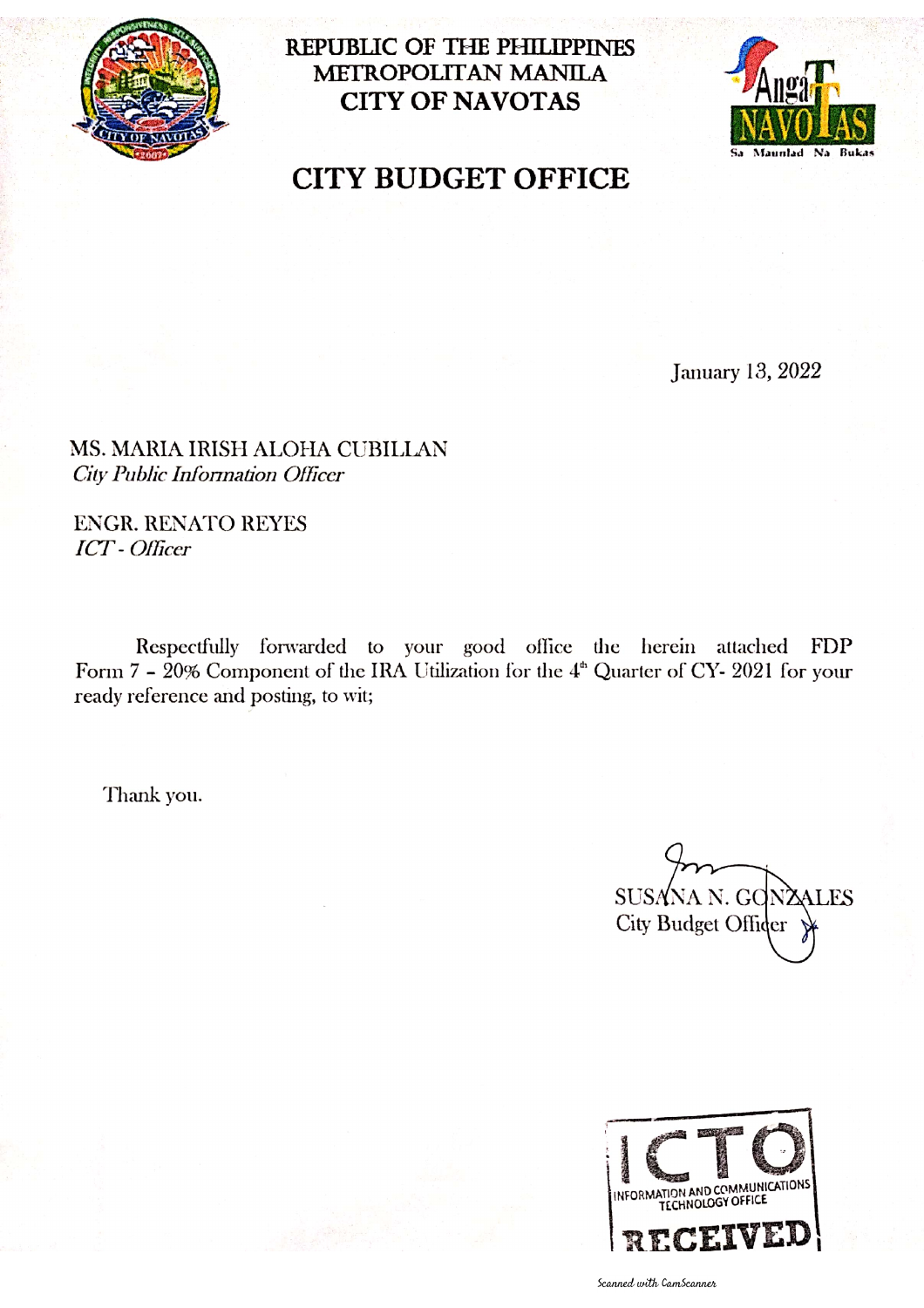

REPUBLIC OF THE PHILIPPINES METROPOLITAN MANILA **CITY OF NAVOTAS** 



# **CITY BUDGET OFFICE**

**January 13, 2022** 

MS. MARIA IRISH ALOHA CUBILLAN City Public Information Officer

**ENGR. RENATO REYES ICT** - Officer

Respectfully forwarded to your good office the herein attached FDP Form  $7 - 20\%$  Component of the IRA Utilization for the  $4<sup>th</sup>$  Quarter of CY- 2021 for your ready reference and posting, to wit;

Thank you.

SUSANA N. GON. **ALES** City Budget Officer



Scanned with CamScanner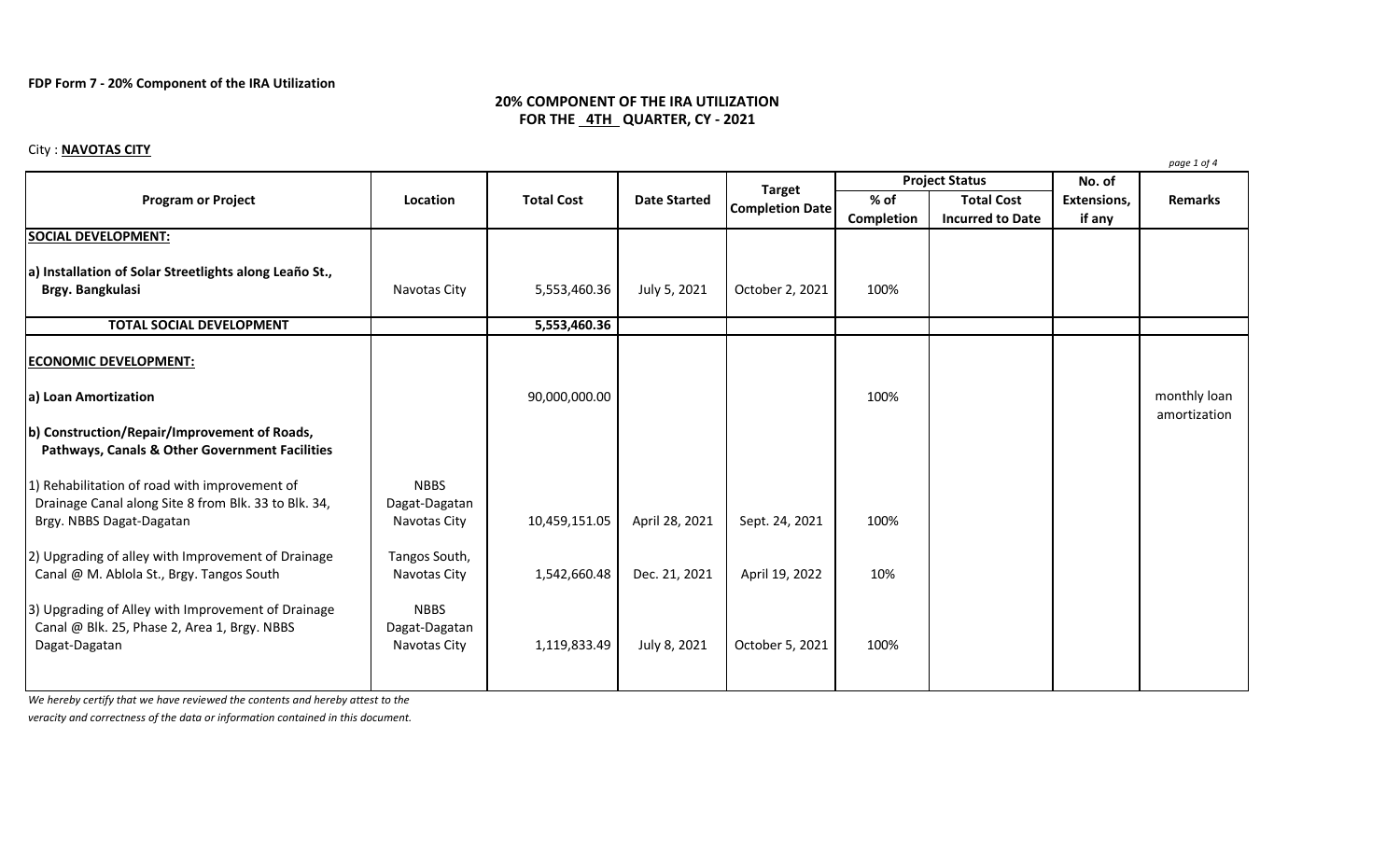## **FDP Form 7 - 20% Component of the IRA Utilization**

# **20% COMPONENT OF THE IRA UTILIZATION FOR THE 4TH QUARTER, CY - 2021**

## City : **NAVOTAS CITY**

| <b>Program or Project</b>                                                                                 | Location                     | <b>Total Cost</b> | <b>Date Started</b> | <b>Target</b><br><b>Completion Date</b> | <b>Project Status</b> |                         | No. of      | r - <i>o</i> - |
|-----------------------------------------------------------------------------------------------------------|------------------------------|-------------------|---------------------|-----------------------------------------|-----------------------|-------------------------|-------------|----------------|
|                                                                                                           |                              |                   |                     |                                         | % of                  | <b>Total Cost</b>       | Extensions, | <b>Remarks</b> |
|                                                                                                           |                              |                   |                     |                                         | Completion            | <b>Incurred to Date</b> | if any      |                |
| <b>SOCIAL DEVELOPMENT:</b>                                                                                |                              |                   |                     |                                         |                       |                         |             |                |
|                                                                                                           |                              |                   |                     |                                         |                       |                         |             |                |
| a) Installation of Solar Streetlights along Leaño St.,                                                    |                              |                   |                     |                                         |                       |                         |             |                |
| Brgy. Bangkulasi                                                                                          | Navotas City                 | 5,553,460.36      | July 5, 2021        | October 2, 2021                         | 100%                  |                         |             |                |
| <b>TOTAL SOCIAL DEVELOPMENT</b>                                                                           |                              | 5,553,460.36      |                     |                                         |                       |                         |             |                |
|                                                                                                           |                              |                   |                     |                                         |                       |                         |             |                |
| <b>ECONOMIC DEVELOPMENT:</b>                                                                              |                              |                   |                     |                                         |                       |                         |             |                |
|                                                                                                           |                              |                   |                     |                                         |                       |                         |             |                |
| a) Loan Amortization                                                                                      |                              | 90,000,000.00     |                     |                                         | 100%                  |                         |             | monthly loan   |
|                                                                                                           |                              |                   |                     |                                         |                       |                         |             | amortization   |
| b) Construction/Repair/Improvement of Roads,<br><b>Pathways, Canals &amp; Other Government Facilities</b> |                              |                   |                     |                                         |                       |                         |             |                |
| 1) Rehabilitation of road with improvement of                                                             | <b>NBBS</b>                  |                   |                     |                                         |                       |                         |             |                |
| Drainage Canal along Site 8 from Blk. 33 to Blk. 34,                                                      | Dagat-Dagatan                |                   |                     |                                         |                       |                         |             |                |
| Brgy. NBBS Dagat-Dagatan                                                                                  | Navotas City                 | 10,459,151.05     | April 28, 2021      | Sept. 24, 2021                          | 100%                  |                         |             |                |
|                                                                                                           |                              |                   |                     |                                         |                       |                         |             |                |
| 2) Upgrading of alley with Improvement of Drainage                                                        | Tangos South,                |                   |                     |                                         |                       |                         |             |                |
| Canal @ M. Ablola St., Brgy. Tangos South                                                                 | Navotas City                 | 1,542,660.48      | Dec. 21, 2021       | April 19, 2022                          | 10%                   |                         |             |                |
|                                                                                                           |                              |                   |                     |                                         |                       |                         |             |                |
| 3) Upgrading of Alley with Improvement of Drainage<br>Canal @ Blk. 25, Phase 2, Area 1, Brgy. NBBS        | <b>NBBS</b><br>Dagat-Dagatan |                   |                     |                                         |                       |                         |             |                |
| Dagat-Dagatan                                                                                             | Navotas City                 | 1,119,833.49      | July 8, 2021        | October 5, 2021                         | 100%                  |                         |             |                |
|                                                                                                           |                              |                   |                     |                                         |                       |                         |             |                |
|                                                                                                           |                              |                   |                     |                                         |                       |                         |             |                |

*We hereby certify that we have reviewed the contents and hereby attest to the*

*veracity and correctness of the data or information contained in this document.*

*page 1 of 4*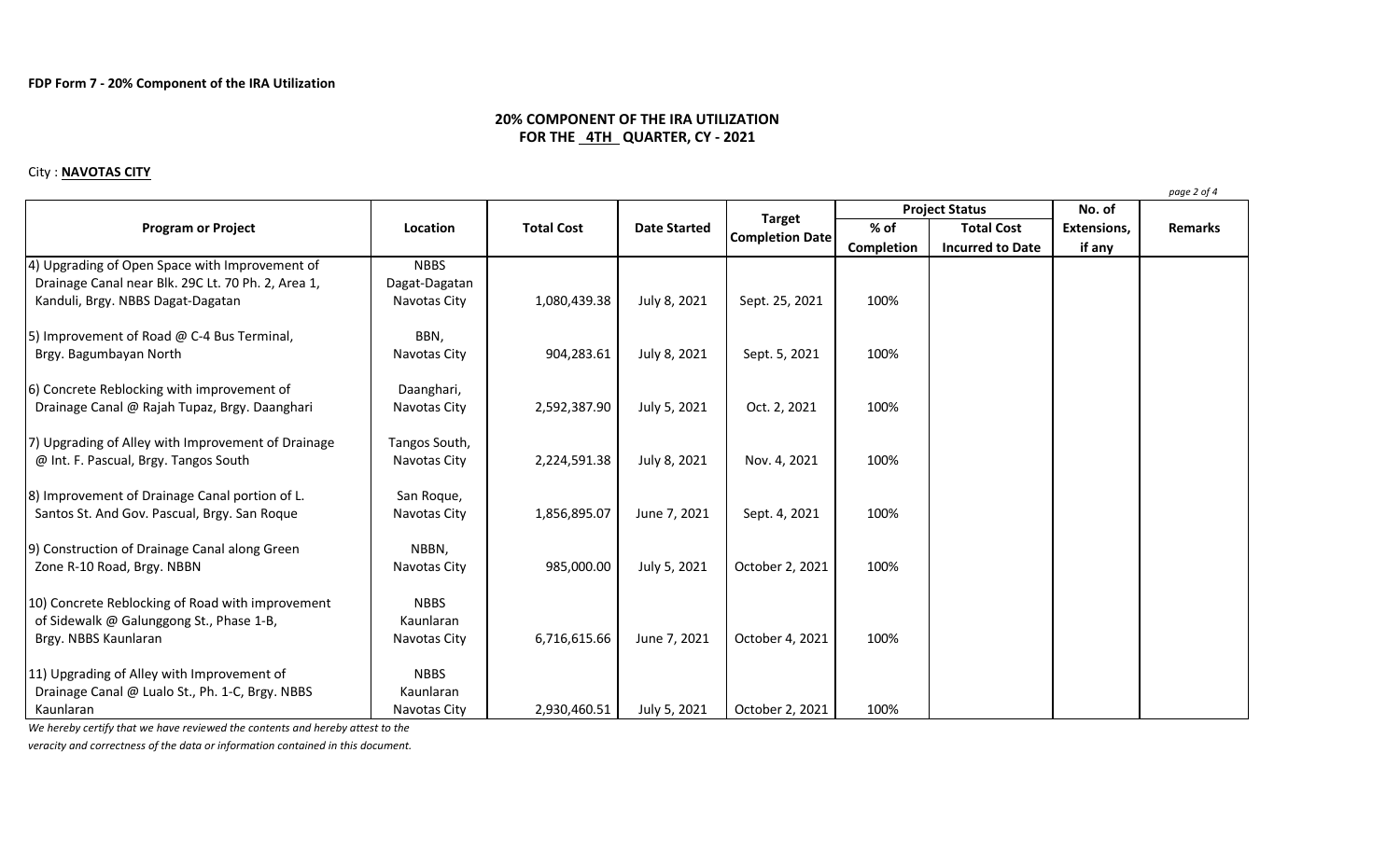## **20% COMPONENT OF THE IRA UTILIZATION FOR THE 4TH QUARTER, CY - 2021**

#### City : **NAVOTAS CITY**

**No. of % of Total Cost Extensions, Completion Incurred to Date if any** 4) Upgrading of Open Space with Improvement of NBBS Drainage Canal near Blk. 29C Lt. 70 Ph. 2, Area 1, Dagat-Dagatan Kanduli, Brgy. NBBS Dagat-Dagatan Navotas City | 1,080,439.38 | July 8, 2021 | Sept. 25, 2021 | 100% 5) Improvement of Road  $\omega$  C-4 Bus Terminal, BBN, Brgy. Bagumbayan North 100% Navotas City | 904,283.61 | July 8, 2021 | Sept. 5, 2021 | 100% 6) Concrete Reblocking with improvement of **Daanghari**, Drainage Canal @ Rajah Tupaz, Brgy. Daanghari | Navotas City | 2,592,387.90 | July 5, 2021 | Oct. 2, 2021 | 100% 7) Upgrading of Alley with Improvement of Drainage  $\Box$  Tangos South, @ Int. F. Pascual, Brgy. Tangos South The Revolution of Navotas City | 2,224,591.38 | July 8, 2021 | Nov. 4, 2021 | 100% 8) Improvement of Drainage Canal portion of L. San Roque, Santos St. And Gov. Pascual, Brgy. San Roque Navotas City 1,856,895.07 June 7, 2021 Sept. 4, 2021 100% 9) Construction of Drainage Canal along Green NBBN, Zone R-10 Road, Brgy. NBBN Navotas City | 985,000.00 | July 5, 2021 | October 2, 2021 | 100% 10) Concrete Reblocking of Road with improvement NBBS of Sidewalk  $\omega$  Galunggong St., Phase 1-B,  $\vert$  Kaunlaran Brgy. NBBS Kaunlaran **Navotas City 100%** Navotas City 100% 6,716,615.66 | June 7, 2021 | October 4, 2021 | 100% 11) Upgrading of Alley with Improvement of NBBS Drainage Canal @ Lualo St., Ph. 1-C, Brgy. NBBS Kaunlaran Kaunlaran 1980 - 100% 100% | Navotas City | 2,930,460.51 | July 5, 2021 | October 2, 2021 | 100% **Program or Project Location Location Total Cost Date Started Completion Completion Date Project Status Remarks**

*We hereby certify that we have reviewed the contents and hereby attest to the*

*veracity and correctness of the data or information contained in this document.*

*page 2 of 4*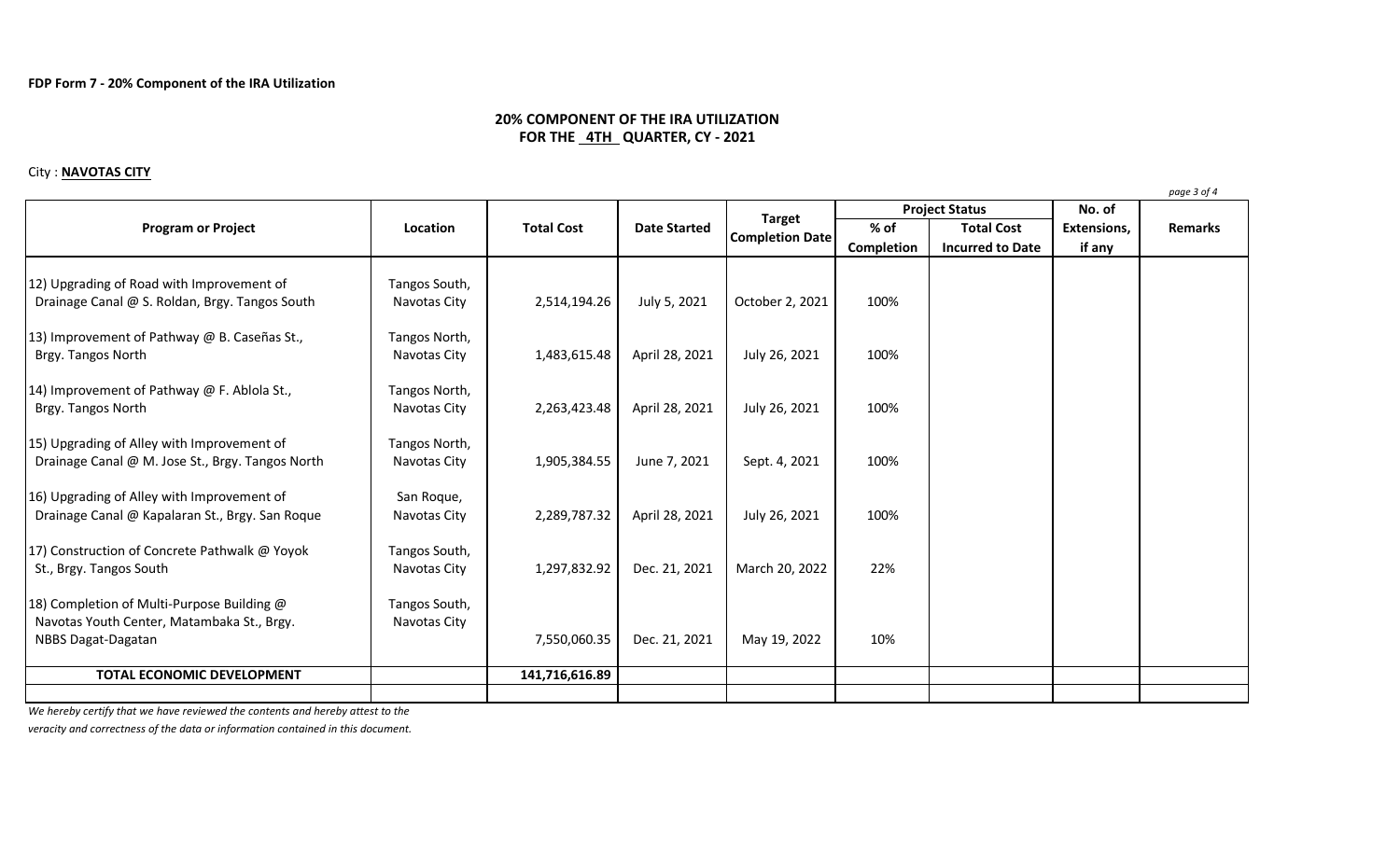## **20% COMPONENT OF THE IRA UTILIZATION FOR THE 4TH QUARTER, CY - 2021**

#### City : **NAVOTAS CITY**

**No. of % of Total Cost Extensions, Completion Incurred to Date if any** 12) Upgrading of Road with Improvement of Tangos South, Drainage Canal @ S. Roldan, Brgy. Tangos South Navotas City | 2,514,194.26 | July 5, 2021 | October 2, 2021 | 100% 13) Improvement of Pathway @ B. Caseñas St., Tangos North, Brgy. Tangos North 100% **Navotas City** 1,483,615.48 April 28, 2021 July 26, 2021 100% 14) Improvement of Pathway @ F. Ablola St., Tangos North, Brgy. Tangos North 100% **Navotas City 2,263,423.48** April 28, 2021 July 26, 2021 100% 15) Upgrading of Alley with Improvement of Tangos North, Drainage Canal @ M. Jose St., Brgy. Tangos North | Navotas City | 1,905,384.55 | June 7, 2021 | Sept. 4, 2021 | 100% 16) Upgrading of Alley with Improvement of San Roque, Drainage Canal @ Kapalaran St., Brgy. San Roque | Navotas City | 2,289,787.32 | April 28, 2021 | July 26, 2021 | 100% 17) Construction of Concrete Pathwalk @ Yoyok Tangos South, St., Brgy. Tangos South **Navotas City** Navotas City 1,297,832.92 Dec. 21, 2021 March 20, 2022 22% 18) Completion of Multi-Purpose Building @ Tangos South, Navotas Youth Center, Matambaka St., Brgy. Navotas City NBBS Dagat-Dagatan 10% **NBBS Dagat-Dagatan 10%** Dec. 21, 2021 May 19, 2022 10% **TOTAL ECONOMIC DEVELOPMENT** 141,716,616.89 **Program or Project Location Location Total Cost Date Started Completion Completion Date Project Status Remarks**

*We hereby certify that we have reviewed the contents and hereby attest to the*

*veracity and correctness of the data or information contained in this document.*

*page 3 of 4*